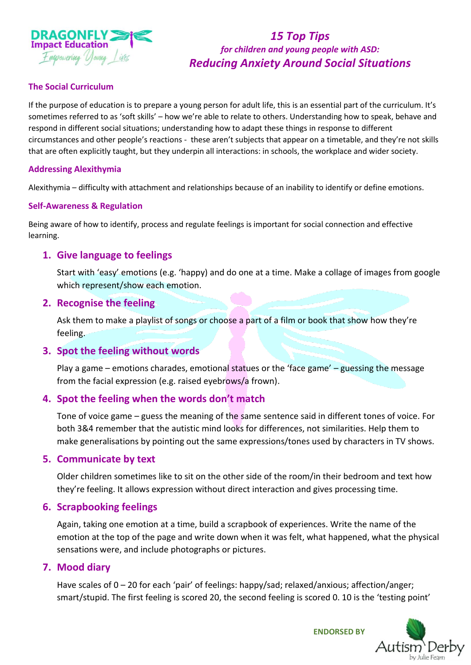

# *15 Top Tips for children and young people with ASD: Reducing Anxiety Around Social Situations*

#### **The Social Curriculum**

If the purpose of education is to prepare a young person for adult life, this is an essential part of the curriculum. It's sometimes referred to as 'soft skills' – how we're able to relate to others. Understanding how to speak, behave and respond in different social situations; understanding how to adapt these things in response to different circumstances and other people's reactions - these aren't subjects that appear on a timetable, and they're not skills that are often explicitly taught, but they underpin all interactions: in schools, the workplace and wider society.

#### **Addressing Alexithymia**

Alexithymia – difficulty with attachment and relationships because of an inability to identify or define emotions.

#### **Self-Awareness & Regulation**

Being aware of how to identify, process and regulate feelings is important for social connection and effective learning.

### **1. Give language to feelings**

Start with 'easy' emotions (e.g. 'happy) and do one at a time. Make a collage of images from google which represent/show each emotion.

#### **2. Recognise the feeling**

Ask them to make a playlist of songs or choose a part of a film or book that show how they're feeling.

#### **3. Spot the feeling without words**

Play a game – emotions charades, emotional statues or the 'face game' – guessing the message from the facial expression (e.g. raised eyebrows/a frown).

### **4. Spot the feeling when the words don't match**

Tone of voice game – guess the meaning of the same sentence said in different tones of voice. For both 3&4 remember that the autistic mind looks for differences, not similarities. Help them to make generalisations by pointing out the same expressions/tones used by characters in TV shows.

#### **5. Communicate by text**

Older children sometimes like to sit on the other side of the room/in their bedroom and text how they're feeling. It allows expression without direct interaction and gives processing time.

#### **6. Scrapbooking feelings**

Again, taking one emotion at a time, build a scrapbook of experiences. Write the name of the emotion at the top of the page and write down when it was felt, what happened, what the physical sensations were, and include photographs or pictures.

#### **7. Mood diary**

Have scales of 0 – 20 for each 'pair' of feelings: happy/sad; relaxed/anxious; affection/anger; smart/stupid. The first feeling is scored 20, the second feeling is scored 0. 10 is the 'testing point'



**ENDORSED BY**